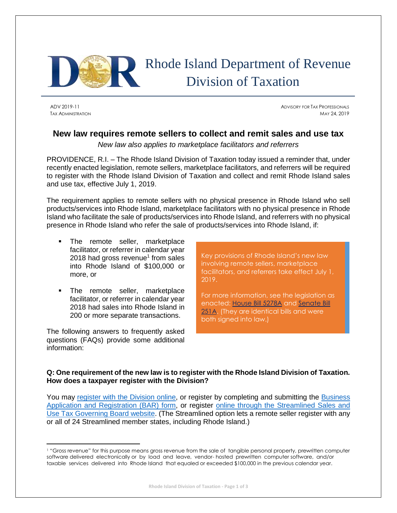

# Rhode Island Department of Revenue Division of Taxation

 $\overline{a}$ 

ADV 2019-11 ADVISORY FOR TAX PROFESSIONALS TAX ADMINISTRATION MAY 24, 2019

## **New law requires remote sellers to collect and remit sales and use tax**

*New law also applies to marketplace facilitators and referrers*

PROVIDENCE, R.I. – The Rhode Island Division of Taxation today issued a reminder that, under recently enacted legislation, remote sellers, marketplace facilitators, and referrers will be required to register with the Rhode Island Division of Taxation and collect and remit Rhode Island sales and use tax, effective July 1, 2019.

The requirement applies to remote sellers with no physical presence in Rhode Island who sell products/services into Rhode Island, marketplace facilitators with no physical presence in Rhode Island who facilitate the sale of products/services into Rhode Island, and referrers with no physical presence in Rhode Island who refer the sale of products/services into Rhode Island, if:

- The remote seller, marketplace facilitator, or referrer in calendar year 2018 had gross revenue<sup>1</sup> from sales into Rhode Island of \$100,000 or more, or
- The remote seller, marketplace facilitator, or referrer in calendar year 2018 had sales into Rhode Island in 200 or more separate transactions.

The following answers to frequently asked questions (FAQs) provide some additional information:

Key provisions of Rhode Island's new law involving remote sellers, marketplace facilitators, and referrers take effect July 1, 2019.

For more information, see the legislation as enacted: [House Bill 5278A](http://webserver.rilin.state.ri.us/BillText/BillText19/HouseText19/H5278A.pdf) and [Senate Bill](http://webserver.rilin.state.ri.us/BillText/BillText19/SenateText19/S0251A.pdf)  [251A.](http://webserver.rilin.state.ri.us/BillText/BillText19/SenateText19/S0251A.pdf) (They are identical bills and were both signed into law.)

### **Q: One requirement of the new law is to register with the Rhode Island Division of Taxation. How does a taxpayer register with the Division?**

You may [register with the Division online,](https://www.ri.gov/taxation/BAR/) or register by completing and submitting the [Business](http://www.tax.ri.gov/forms/2017/Misc/TX_BAR_092017.pdf)  [Application and Registration \(BAR\) form,](http://www.tax.ri.gov/forms/2017/Misc/TX_BAR_092017.pdf) or register [online through the Streamlined Sales and](https://www.streamlinedsalestax.org/for-businesses/registration)  [Use Tax Governing Board website.](https://www.streamlinedsalestax.org/for-businesses/registration) (The Streamlined option lets a remote seller register with any or all of 24 Streamlined member states, including Rhode Island.)

<sup>1</sup> "Gross revenue" for this purpose means gross revenue from the sale of tangible personal property, prewritten computer software delivered electronically or by load and leave, vendor- hosted prewritten computer software, and/or taxable services delivered into Rhode Island that equaled or exceeded \$100,000 in the previous calendar year.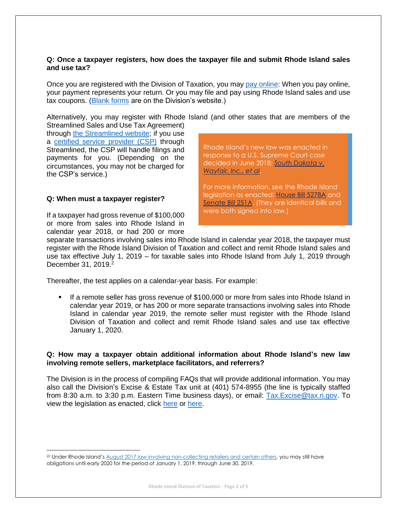#### **Q: Once a taxpayer registers, how does the taxpayer file and submit Rhode Island sales and use tax?**

Once you are registered with the Division of Taxation, you may [pay online:](https://www.ri.gov/taxation/business/index.php) When you pay online, your payment represents your return. Or you may file and pay using Rhode Island sales and use tax coupons. [\(Blank forms](http://www.tax.ri.gov/taxforms/sales_excise/sales_use.php) are on the Division's website.)

Alternatively, you may register with Rhode Island (and other states that are members of the

Streamlined Sales and Use Tax Agreement) through [the Streamlined website;](https://www.streamlinedsalestax.org/for-businesses/registration) if you use a [certified service provider \(CSP\)](https://www.streamlinedsalestax.org/certified-service-providers/certified-service-providers-about) through Streamlined, the CSP will handle filings and payments for you. (Depending on the circumstances, you may not be charged for the CSP's service.)

Rhode Island's new law was enacted in response to a U.S. Supreme Court case decided in June 2018: *[South Dakota v.](https://www.supremecourt.gov/opinions/17pdf/17-494_j4el.pdf)  [Wayfair, Inc., et al](https://www.supremecourt.gov/opinions/17pdf/17-494_j4el.pdf)*.

For more information, see the Rhode Island legislation as enacted: [House Bill 5278A](http://webserver.rilin.state.ri.us/BillText/BillText19/HouseText19/H5278A.pdf) and [Senate Bill 251A.](http://webserver.rilin.state.ri.us/BillText/BillText19/SenateText19/S0251A.pdf) (They are identical bills and were both signed into law.)

#### **Q: When must a taxpayer register?**

 $\overline{\phantom{a}}$ 

If a taxpayer had gross revenue of \$100,000 or more from sales into Rhode Island in calendar year 2018, or had 200 or more

separate transactions involving sales into Rhode Island in calendar year 2018, the taxpayer must register with the Rhode Island Division of Taxation and collect and remit Rhode Island sales and use tax effective July 1, 2019 – for taxable sales into Rhode Island from July 1, 2019 through December 31, 2019. 2

Thereafter, the test applies on a calendar-year basis. For example:

If a remote seller has gross revenue of \$100,000 or more from sales into Rhode Island in calendar year 2019, or has 200 or more separate transactions involving sales into Rhode Island in calendar year 2019, the remote seller must register with the Rhode Island Division of Taxation and collect and remit Rhode Island sales and use tax effective January 1, 2020.

#### **Q: How may a taxpayer obtain additional information about Rhode Island's new law involving remote sellers, marketplace facilitators, and referrers?**

The Division is in the process of compiling FAQs that will provide additional information. You may also call the Division's Excise & Estate Tax unit at (401) 574-8955 (the line is typically staffed from 8:30 a.m. to 3:30 p.m. Eastern Time business days), or email: Tax. Excise @tax.ri.gov. To view the legislation as enacted, click [here](http://webserver.rilin.state.ri.us/BillText/BillText19/SenateText19/S0251A.pdf) or [here.](http://webserver.rilin.state.ri.us/BillText/BillText19/HouseText19/H5278A.pdf)

<sup>&</sup>lt;sup>22</sup> Under Rhode Island'[s August 2017 law involving non-collecting retailers](http://webserver.rilin.state.ri.us/Statutes/TITLE44/44-18.2/INDEX.HTM) and certain others, you may still have obligations until early 2020 for the period of January 1, 2019, through June 30, 2019.